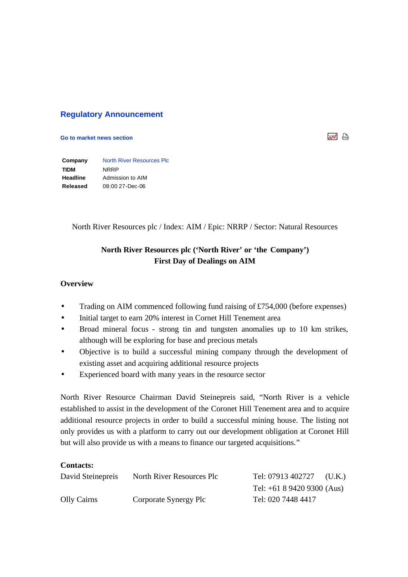## **Regulatory Announcement**

#### **Go to market news section**

**Company** North River Resources Plc **TIDM** NRRP **Headline** Admission to AIM **Released** 08:00 27-Dec-06

North River Resources plc / Index: AIM / Epic: NRRP / Sector: Natural Resources

# **North River Resources plc ('North River' or 'the Company') First Day of Dealings on AIM**

#### **Overview**

- Trading on AIM commenced following fund raising of £754,000 (before expenses)
- Initial target to earn 20% interest in Cornet Hill Tenement area
- Broad mineral focus strong tin and tungsten anomalies up to 10 km strikes, although will be exploring for base and precious metals
- Objective is to build a successful mining company through the development of existing asset and acquiring additional resource projects
- Experienced board with many years in the resource sector

North River Resource Chairman David Steinepreis said, "North River is a vehicle established to assist in the development of the Coronet Hill Tenement area and to acquire additional resource projects in order to build a successful mining house. The listing not only provides us with a platform to carry out our development obligation at Coronet Hill but will also provide us with a means to finance our targeted acquisitions."

### **Contacts:**

| David Steinepreis | North River Resources Plc | Tel: 07913 402727         | (U.K.) |
|-------------------|---------------------------|---------------------------|--------|
|                   |                           | Tel: $+61894209300$ (Aus) |        |
| Olly Cairns       | Corporate Synergy Plc     | Tel: 020 7448 4417        |        |

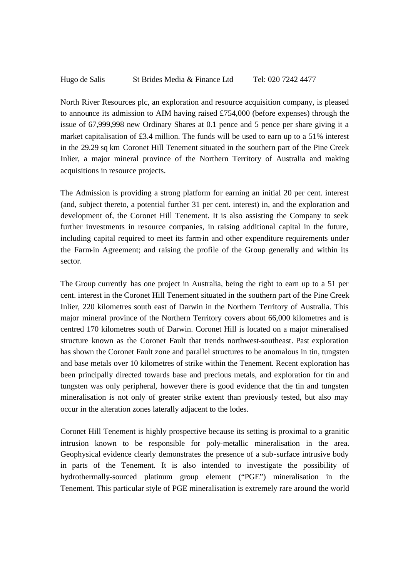North River Resources plc, an exploration and resource acquisition company, is pleased to announce its admission to AIM having raised £754,000 (before expenses) through the issue of 67,999,998 new Ordinary Shares at 0.1 pence and 5 pence per share giving it a market capitalisation of £3.4 million. The funds will be used to earn up to a 51% interest in the 29.29 sq km Coronet Hill Tenement situated in the southern part of the Pine Creek Inlier, a major mineral province of the Northern Territory of Australia and making acquisitions in resource projects.

The Admission is providing a strong platform for earning an initial 20 per cent. interest (and, subject thereto, a potential further 31 per cent. interest) in, and the exploration and development of, the Coronet Hill Tenement. It is also assisting the Company to seek further investments in resource companies, in raising additional capital in the future, including capital required to meet its farm-in and other expenditure requirements under the Farm-in Agreement; and raising the profile of the Group generally and within its sector.

The Group currently has one project in Australia, being the right to earn up to a 51 per cent. interest in the Coronet Hill Tenement situated in the southern part of the Pine Creek Inlier, 220 kilometres south east of Darwin in the Northern Territory of Australia. This major mineral province of the Northern Territory covers about 66,000 kilometres and is centred 170 kilometres south of Darwin. Coronet Hill is located on a major mineralised structure known as the Coronet Fault that trends northwest-southeast. Past exploration has shown the Coronet Fault zone and parallel structures to be anomalous in tin, tungsten and base metals over 10 kilometres of strike within the Tenement. Recent exploration has been principally directed towards base and precious metals, and exploration for tin and tungsten was only peripheral, however there is good evidence that the tin and tungsten mineralisation is not only of greater strike extent than previously tested, but also may occur in the alteration zones laterally adjacent to the lodes.

Coronet Hill Tenement is highly prospective because its setting is proximal to a granitic intrusion known to be responsible for poly-metallic mineralisation in the area. Geophysical evidence clearly demonstrates the presence of a sub-surface intrusive body in parts of the Tenement. It is also intended to investigate the possibility of hydrothermally-sourced platinum group element ("PGE") mineralisation in the Tenement. This particular style of PGE mineralisation is extremely rare around the world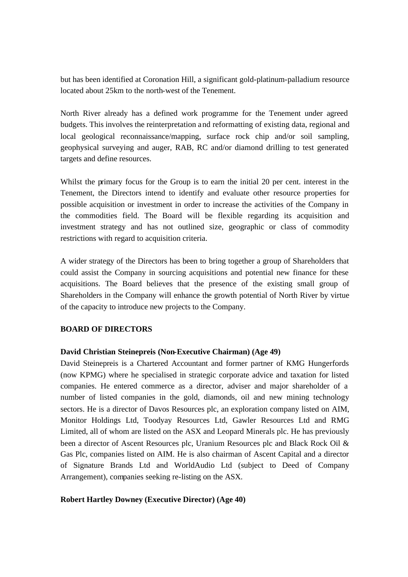but has been identified at Coronation Hill, a significant gold-platinum-palladium resource located about 25km to the north-west of the Tenement.

North River already has a defined work programme for the Tenement under agreed budgets. This involves the reinterpretation and reformatting of existing data, regional and local geological reconnaissance/mapping, surface rock chip and/or soil sampling, geophysical surveying and auger, RAB, RC and/or diamond drilling to test generated targets and define resources.

Whilst the primary focus for the Group is to earn the initial 20 per cent. interest in the Tenement, the Directors intend to identify and evaluate other resource properties for possible acquisition or investment in order to increase the activities of the Company in the commodities field. The Board will be flexible regarding its acquisition and investment strategy and has not outlined size, geographic or class of commodity restrictions with regard to acquisition criteria.

A wider strategy of the Directors has been to bring together a group of Shareholders that could assist the Company in sourcing acquisitions and potential new finance for these acquisitions. The Board believes that the presence of the existing small group of Shareholders in the Company will enhance the growth potential of North River by virtue of the capacity to introduce new projects to the Company.

### **BOARD OF DIRECTORS**

### **David Christian Steinepreis (Non-Executive Chairman) (Age 49)**

David Steinepreis is a Chartered Accountant and former partner of KMG Hungerfords (now KPMG) where he specialised in strategic corporate advice and taxation for listed companies. He entered commerce as a director, adviser and major shareholder of a number of listed companies in the gold, diamonds, oil and new mining technology sectors. He is a director of Davos Resources plc, an exploration company listed on AIM, Monitor Holdings Ltd, Toodyay Resources Ltd, Gawler Resources Ltd and RMG Limited, all of whom are listed on the ASX and Leopard Minerals plc. He has previously been a director of Ascent Resources plc, Uranium Resources plc and Black Rock Oil & Gas Plc, companies listed on AIM. He is also chairman of Ascent Capital and a director of Signature Brands Ltd and WorldAudio Ltd (subject to Deed of Company Arrangement), companies seeking re-listing on the ASX.

### **Robert Hartley Downey (Executive Director) (Age 40)**